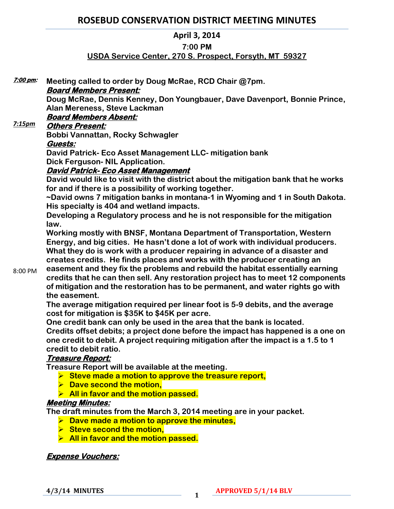# **ROSEBUD CONSERVATION DISTRICT MEETING MINUTES**

# **April 3, 2014**

### **7:00 PM**

# **USDA Service Center, 270 S. Prospect, Forsyth, MT 59327**

| 7:00 pm: | Meeting called to order by Doug McRae, RCD Chair @7pm.                               |
|----------|--------------------------------------------------------------------------------------|
|          | <b>Board Members Present:</b>                                                        |
|          | Doug McRae, Dennis Kenney, Don Youngbauer, Dave Davenport, Bonnie Prince,            |
|          | Alan Mereness, Steve Lackman                                                         |
| 7:15pm   | <b>Board Members Absent:</b>                                                         |
|          | <b>Others Present:</b>                                                               |
|          | Bobbi Vannattan, Rocky Schwagler                                                     |
|          | Guests:                                                                              |
|          | David Patrick- Eco Asset Management LLC- mitigation bank                             |
|          | <b>Dick Ferguson- NIL Application.</b>                                               |
|          | <u> David Patrick- Eco Asset Management</u>                                          |
|          | David would like to visit with the district about the mitigation bank that he works  |
|          | for and if there is a possibility of working together.                               |
|          | ~David owns 7 mitigation banks in montana-1 in Wyoming and 1 in South Dakota.        |
|          | His specialty is 404 and wetland impacts.                                            |
|          | Developing a Regulatory process and he is not responsible for the mitigation<br>law. |
|          | Working mostly with BNSF, Montana Department of Transportation, Western              |
|          | Energy, and big cities. He hasn't done a lot of work with individual producers.      |
|          | What they do is work with a producer repairing in advance of a disaster and          |
|          | creates credits. He finds places and works with the producer creating an             |
|          | easement and they fix the problems and rebuild the habitat essentially earning       |
| 8:00 PM  | credits that he can then sell. Any restoration project has to meet 12 components     |
|          | of mitigation and the restoration has to be permanent, and water rights go with      |
|          | the easement.                                                                        |
|          | The average mitigation required per linear foot is 5-9 debits, and the average       |
|          | cost for mitigation is \$35K to \$45K per acre.                                      |
|          | One credit bank can only be used in the area that the bank is located.               |
|          | Credits offset debits; a project done before the impact has happened is a one on     |
|          | one credit to debit. A project requiring mitigation after the impact is a 1.5 to 1   |
|          | credit to debit ratio.                                                               |
|          | Treasure Report:                                                                     |
|          | Treasure Report will be available at the meeting.                                    |
|          | $\triangleright$ Steve made a motion to approve the treasure report,                 |
|          | $\triangleright$ Dave second the motion,                                             |
|          | $\triangleright$ All in favor and the motion passed.                                 |
|          | <b>Meeting Minutes:</b>                                                              |
|          | The draft minutes from the March 3, 2014 meeting are in your packet.                 |
|          | $\triangleright$ Dave made a motion to approve the minutes,                          |
|          | $\triangleright$ Steve second the motion,                                            |
|          | $\triangleright$ All in favor and the motion passed.                                 |
|          |                                                                                      |

# **Expense Vouchers:**

**4/3/14 MINUTES <sup>1</sup>**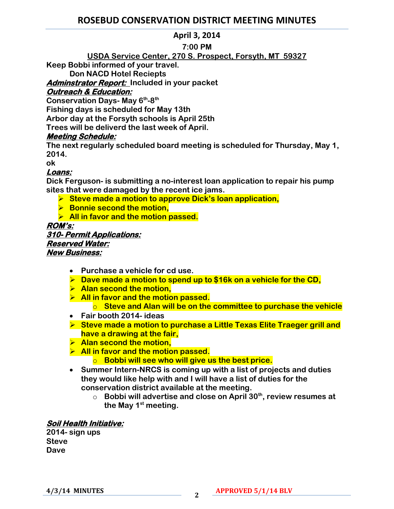# **ROSEBUD CONSERVATION DISTRICT MEETING MINUTES**

# **April 3, 2014**

### **7:00 PM**

# **USDA Service Center, 270 S. Prospect, Forsyth, MT 59327**

**Keep Bobbi informed of your travel.** 

**Don NACD Hotel Reciepts**

**Adminstrator Report: Included in your packet** 

# **Outreach & Education:**

**Conservation Days- May 6th -8 th**

**Fishing days is scheduled for May 13th**

**Arbor day at the Forsyth schools is April 25th**

**Trees will be deliverd the last week of April.**

# **Meeting Schedule:**

**The next regularly scheduled board meeting is scheduled for Thursday, May 1, 2014.** 

**ok**

# **Loans:**

**Dick Ferguson- is submitting a no-interest loan application to repair his pump sites that were damaged by the recent ice jams.** 

- **► Steve made a motion to approve Dick's loan application,**
- **Bonnie second the motion,**
- **All in favor and the motion passed.**

#### **ROM's: 310- Permit Applications: Reserved Water: New Business:**

- **Purchase a vehicle for cd use.**
- **Dave made a motion to spend up to \$16k on a vehicle for the CD,**
- **Alan second the motion,**
- **All in favor and the motion passed.** 
	- o **Steve and Alan will be on the committee to purchase the vehicle**
- **Fair booth 2014- ideas**
- **Steve made a motion to purchase a Little Texas Elite Traeger grill and have a drawing at the fair,**
- **Alan second the motion,**
- **All in favor and the motion passed.** 
	- o **Bobbi will see who will give us the best price.**
- **Summer Intern-NRCS is coming up with a list of projects and duties they would like help with and I will have a list of duties for the conservation district available at the meeting.** 
	- o **Bobbi will advertise and close on April 30th, review resumes at the May 1st meeting.**

# **Soil Health Initiative:**

**2014- sign ups Steve Dave**